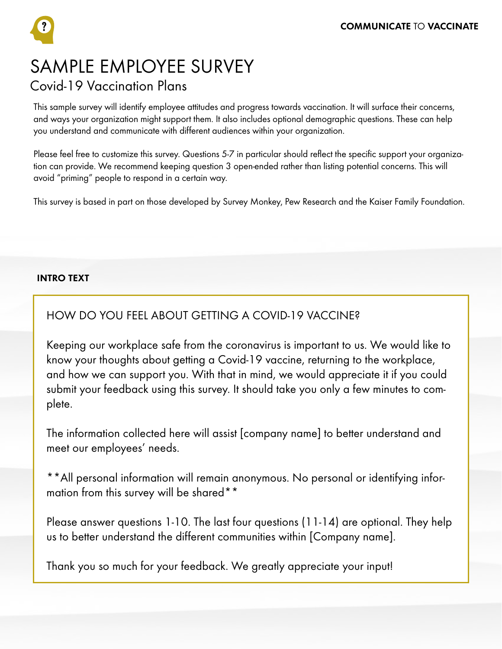SAMPLE EMPLOYEE SURVEY Covid-19 Vaccination Plans

This sample survey will identify employee attitudes and progress towards vaccination. It will surface their concerns, and ways your organization might support them. It also includes optional demographic questions. These can help you understand and communicate with different audiences within your organization.

Please feel free to customize this survey. Questions 5-7 in particular should reflect the specific support your organization can provide. We recommend keeping question 3 open-ended rather than listing potential concerns. This will avoid "priming" people to respond in a certain way.

This survey is based in part on those developed by Survey Monkey, Pew Research and the Kaiser Family Foundation.

## INTRO TEXT

# HOW DO YOU FEEL ABOUT GETTING A COVID-19 VACCINE?

Keeping our workplace safe from the coronavirus is important to us. We would like to know your thoughts about getting a Covid-19 vaccine, returning to the workplace, and how we can support you. With that in mind, we would appreciate it if you could submit your feedback using this survey. It should take you only a few minutes to complete.

The information collected here will assist [company name] to better understand and meet our employees' needs.

\*\*All personal information will remain anonymous. No personal or identifying information from this survey will be shared\*\*

Please answer questions 1-10. The last four questions (11-14) are optional. They help us to better understand the different communities within [Company name].

Thank you so much for your feedback. We greatly appreciate your input!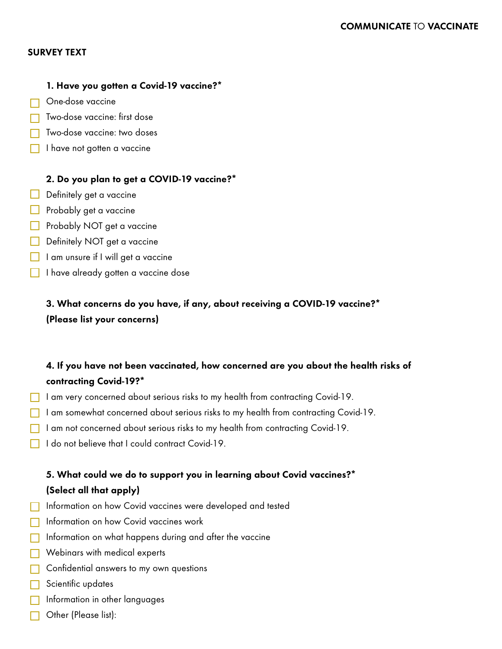## SURVEY TEXT

## 1. Have you gotten a Covid-19 vaccine?\*

- □ One-dose vaccine
- Two-dose vaccine: first dose
- Two-dose vaccine: two doses
- I have not gotten a vaccine

## 2. Do you plan to get a COVID-19 vaccine?\*

- $\Box$  Definitely get a vaccine
- $\Box$  Probably get a vaccine
- Probably NOT get a vaccine
- Definitely NOT get a vaccine
- $\Box$  I am unsure if I will get a vaccine
- I have already gotten a vaccine dose

3. What concerns do you have, if any, about receiving a COVID-19 vaccine?\* (Please list your concerns)

# 4. If you have not been vaccinated, how concerned are you about the health risks of contracting Covid-19?\*

- I am very concerned about serious risks to my health from contracting Covid-19.
- I am somewhat concerned about serious risks to my health from contracting Covid-19.
- I am not concerned about serious risks to my health from contracting Covid-19.
- $\Box$  I do not believe that Lcould contract Covid-19.

# 5. What could we do to support you in learning about Covid vaccines?\* (Select all that apply)

- **Information on how Covid vaccines were developed and tested**
- **Information on how Covid vaccines work**
- $\Box$  Information on what happens during and after the vaccine
- Webinars with medical experts
- **Confidential answers to my own questions**
- Scientific updates
- $\overline{\phantom{a}}$  Information in other languages
- Other (Please list):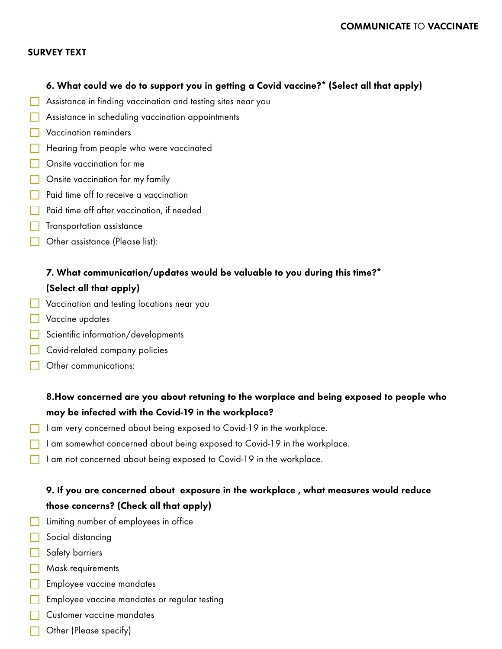#### SURVEY TEXT

#### 6. What could we do to support you in getting a Covid vaccine?\* (Select all that apply)

- **Assistance in finding vaccination and testing sites near you**
- **Assistance in scheduling vaccination appointments**
- **Naccination reminders**
- Hearing from people who were vaccinated
- **Onsite vaccination for me**
- **Onsite vaccination for my family**
- **Paid time off to receive a vaccination**
- **Paid time off after vaccination, if needed**
- $\Box$  Transportation assistance
- Other assistance (Please list):

# 7. What communication/updates would be valuable to you during this time?\*

## (Select all that apply)

- **Vaccination and testing locations near you**
- **Vaccine updates**
- Scientific information/developments
- Covid-related company policies
- **Other communications:**

# 8.How concerned are you about retuning to the worplace and being exposed to people who may be infected with the Covid-19 in the workplace?

- I am very concerned about being exposed to Covid-19 in the workplace.
- I am somewhat concerned about being exposed to Covid-19 in the workplace.
- I am not concerned about being exposed to Covid-19 in the workplace.

# 9. If you are concerned about exposure in the workplace , what measures would reduce those concerns? (Check all that apply)

- **Limiting number of employees in office**
- Social distancing
- Safety barriers
- **Mask requirements**
- **Employee vaccine mandates**
- $\Box$  Employee vaccine mandates or regular testing
- **Customer vaccine mandates**
- **C** Other (Please specify)